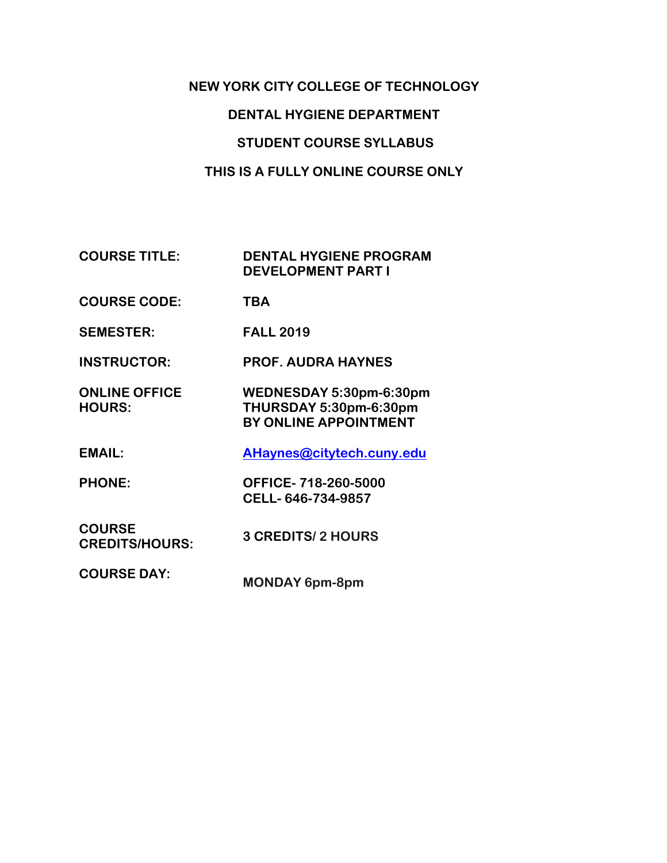# **NEW YORK CITY COLLEGE OF TECHNOLOGY DENTAL HYGIENE DEPARTMENT STUDENT COURSE SYLLABUS THIS IS A FULLY ONLINE COURSE ONLY**

**COURSE TITLE: DENTAL HYGIENE PROGRAM DEVELOPMENT PART I** 

- **COURSE CODE: TBA**
- **SEMESTER: FALL 2019**

**INSTRUCTOR: PROF. AUDRA HAYNES**

**ONLINE OFFICE HOURS: WEDNESDAY 5:30pm-6:30pm THURSDAY 5:30pm-6:30pm BY ONLINE APPOINTMENT**

**EMAIL: AHaynes@citytech.cuny.edu**

**PHONE: OFFICE- 718-260-5000 CELL- 646-734-9857**

**COURSE CREDITS/HOURS: 3 CREDITS/ 2 HOURS**

**COURSE DAY: MONDAY 6pm-8pm**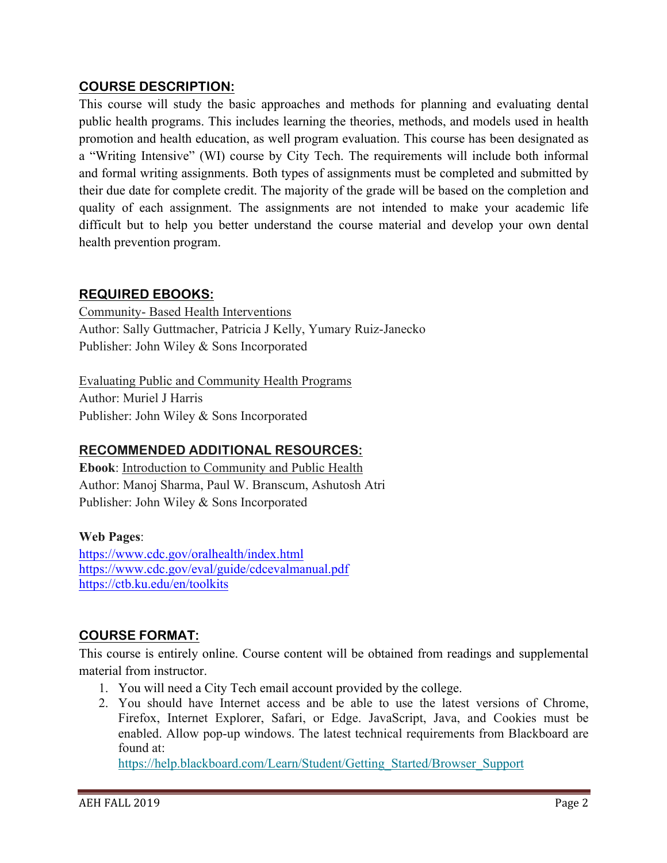### **COURSE DESCRIPTION:**

This course will study the basic approaches and methods for planning and evaluating dental public health programs. This includes learning the theories, methods, and models used in health promotion and health education, as well program evaluation. This course has been designated as a "Writing Intensive" (WI) course by City Tech. The requirements will include both informal and formal writing assignments. Both types of assignments must be completed and submitted by their due date for complete credit. The majority of the grade will be based on the completion and quality of each assignment. The assignments are not intended to make your academic life difficult but to help you better understand the course material and develop your own dental health prevention program.

### **REQUIRED EBOOKS:**

Community- Based Health Interventions Author: Sally Guttmacher, Patricia J Kelly, Yumary Ruiz-Janecko Publisher: John Wiley & Sons Incorporated

Evaluating Public and Community Health Programs Author: Muriel J Harris Publisher: John Wiley & Sons Incorporated

# **RECOMMENDED ADDITIONAL RESOURCES:**

**Ebook**: Introduction to Community and Public Health Author: Manoj Sharma, Paul W. Branscum, Ashutosh Atri Publisher: John Wiley & Sons Incorporated

# **Web Pages**:

https://www.cdc.gov/oralhealth/index.html https://www.cdc.gov/eval/guide/cdcevalmanual.pdf https://ctb.ku.edu/en/toolkits

# **COURSE FORMAT:**

This course is entirely online. Course content will be obtained from readings and supplemental material from instructor.

- 1. You will need a City Tech email account provided by the college.
- 2. You should have Internet access and be able to use the latest versions of Chrome, Firefox, Internet Explorer, Safari, or Edge. JavaScript, Java, and Cookies must be enabled. Allow pop-up windows. The latest technical requirements from Blackboard are found at:

https://help.blackboard.com/Learn/Student/Getting\_Started/Browser\_Support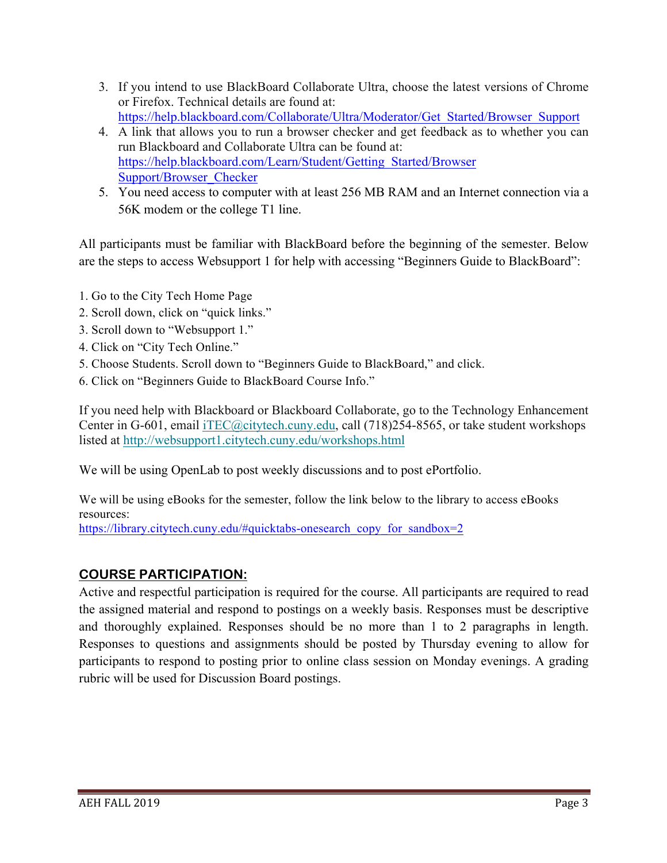- 3. If you intend to use BlackBoard Collaborate Ultra, choose the latest versions of Chrome or Firefox. Technical details are found at: https://help.blackboard.com/Collaborate/Ultra/Moderator/Get\_Started/Browser\_Support
- 4. A link that allows you to run a browser checker and get feedback as to whether you can run Blackboard and Collaborate Ultra can be found at: https://help.blackboard.com/Learn/Student/Getting\_Started/Browser Support/Browser\_Checker
- 5. You need access to computer with at least 256 MB RAM and an Internet connection via a 56K modem or the college T1 line.

All participants must be familiar with BlackBoard before the beginning of the semester. Below are the steps to access Websupport 1 for help with accessing "Beginners Guide to BlackBoard":

- 1. Go to the City Tech Home Page
- 2. Scroll down, click on "quick links."
- 3. Scroll down to "Websupport 1."
- 4. Click on "City Tech Online."
- 5. Choose Students. Scroll down to "Beginners Guide to BlackBoard," and click.
- 6. Click on "Beginners Guide to BlackBoard Course Info."

If you need help with Blackboard or Blackboard Collaborate, go to the Technology Enhancement Center in G-601, email iTEC@citytech.cuny.edu, call (718)254-8565, or take student workshops listed at http://websupport1.citytech.cuny.edu/workshops.html

We will be using OpenLab to post weekly discussions and to post ePortfolio.

We will be using eBooks for the semester, follow the link below to the library to access eBooks resources:

https://library.citytech.cuny.edu/#quicktabs-onesearch\_copy\_for\_sandbox=2

# **COURSE PARTICIPATION:**

Active and respectful participation is required for the course. All participants are required to read the assigned material and respond to postings on a weekly basis. Responses must be descriptive and thoroughly explained. Responses should be no more than 1 to 2 paragraphs in length. Responses to questions and assignments should be posted by Thursday evening to allow for participants to respond to posting prior to online class session on Monday evenings. A grading rubric will be used for Discussion Board postings.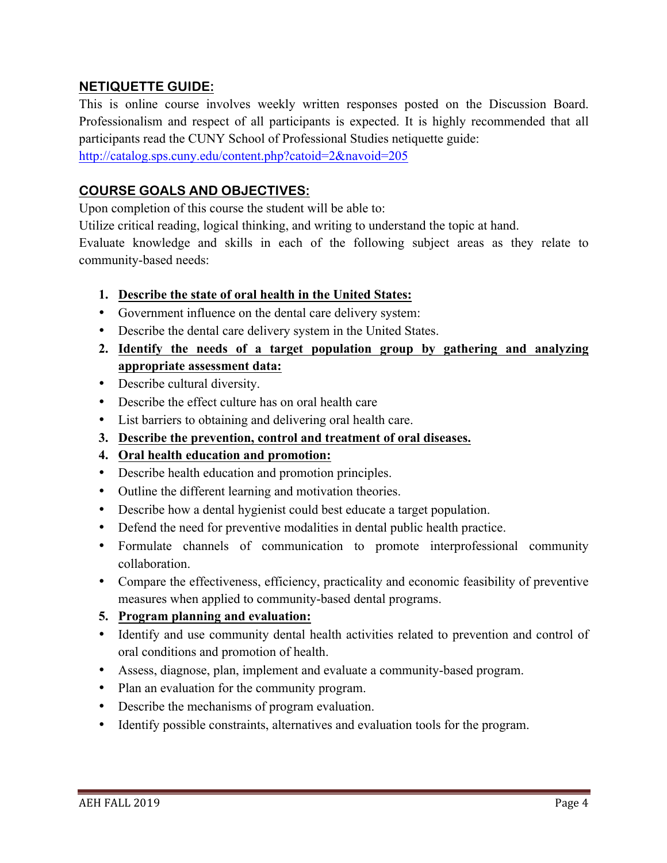### **NETIQUETTE GUIDE:**

This is online course involves weekly written responses posted on the Discussion Board. Professionalism and respect of all participants is expected. It is highly recommended that all participants read the CUNY School of Professional Studies netiquette guide:

http://catalog.sps.cuny.edu/content.php?catoid=2&navoid=205

### **COURSE GOALS AND OBJECTIVES:**

Upon completion of this course the student will be able to:

Utilize critical reading, logical thinking, and writing to understand the topic at hand.

Evaluate knowledge and skills in each of the following subject areas as they relate to community-based needs:

### **1. Describe the state of oral health in the United States:**

- Government influence on the dental care delivery system:
- Describe the dental care delivery system in the United States.
- **2. Identify the needs of a target population group by gathering and analyzing appropriate assessment data:**
- Describe cultural diversity.
- Describe the effect culture has on oral health care
- List barriers to obtaining and delivering oral health care.
- **3. Describe the prevention, control and treatment of oral diseases.**
- **4. Oral health education and promotion:**
- Describe health education and promotion principles.
- Outline the different learning and motivation theories.
- Describe how a dental hygienist could best educate a target population.
- Defend the need for preventive modalities in dental public health practice.
- Formulate channels of communication to promote interprofessional community collaboration.
- Compare the effectiveness, efficiency, practicality and economic feasibility of preventive measures when applied to community-based dental programs.

### **5. Program planning and evaluation:**

- Identify and use community dental health activities related to prevention and control of oral conditions and promotion of health.
- Assess, diagnose, plan, implement and evaluate a community-based program.
- Plan an evaluation for the community program.
- Describe the mechanisms of program evaluation.
- Identify possible constraints, alternatives and evaluation tools for the program.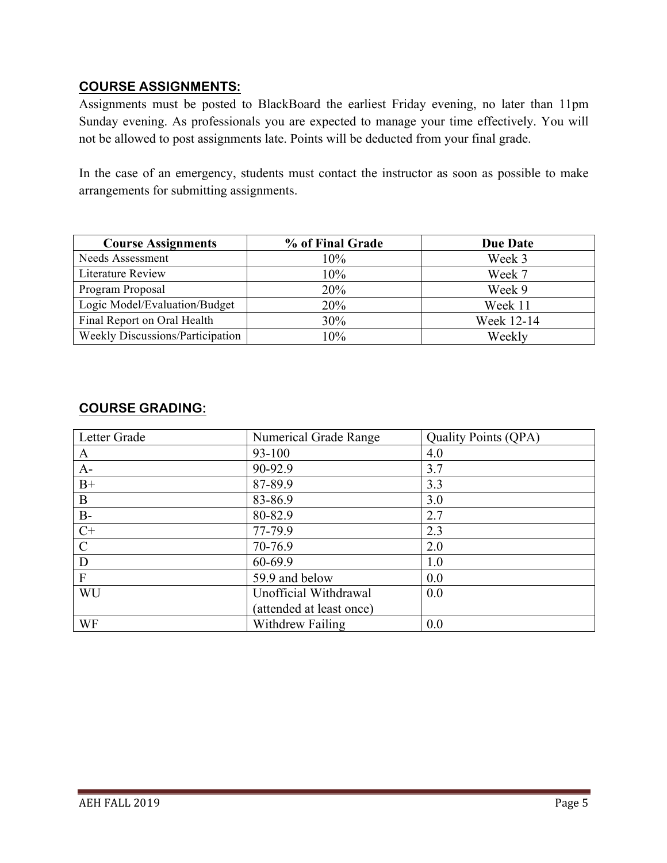### **COURSE ASSIGNMENTS:**

Assignments must be posted to BlackBoard the earliest Friday evening, no later than 11pm Sunday evening. As professionals you are expected to manage your time effectively. You will not be allowed to post assignments late. Points will be deducted from your final grade.

In the case of an emergency, students must contact the instructor as soon as possible to make arrangements for submitting assignments.

| <b>Course Assignments</b>        | % of Final Grade | <b>Due Date</b> |
|----------------------------------|------------------|-----------------|
| Needs Assessment                 | $10\%$           | Week 3          |
| <b>Literature Review</b>         | 10%              | Week 7          |
| Program Proposal                 | 20%              | Week 9          |
| Logic Model/Evaluation/Budget    | 20%              | Week 11         |
| Final Report on Oral Health      | 30%              | Week 12-14      |
| Weekly Discussions/Participation | 10%              | Weekly          |

# **COURSE GRADING:**

| Letter Grade              | Numerical Grade Range    | <b>Quality Points (QPA)</b> |
|---------------------------|--------------------------|-----------------------------|
| A                         | 93-100                   | 4.0                         |
| $A-$                      | 90-92.9                  | 3.7                         |
| $B+$                      | 87-89.9                  | 3.3                         |
| $\mathbf{B}$              | 83-86.9                  | 3.0                         |
| $B-$                      | 80-82.9                  | 2.7                         |
| $C+$                      | 77-79.9                  | 2.3                         |
| $\mathcal{C}$             | 70-76.9                  | 2.0                         |
| D                         | 60-69.9                  | 1.0                         |
| $\boldsymbol{\mathrm{F}}$ | 59.9 and below           | 0.0                         |
| WU                        | Unofficial Withdrawal    | 0.0                         |
|                           | (attended at least once) |                             |
| WF                        | Withdrew Failing         | 0.0                         |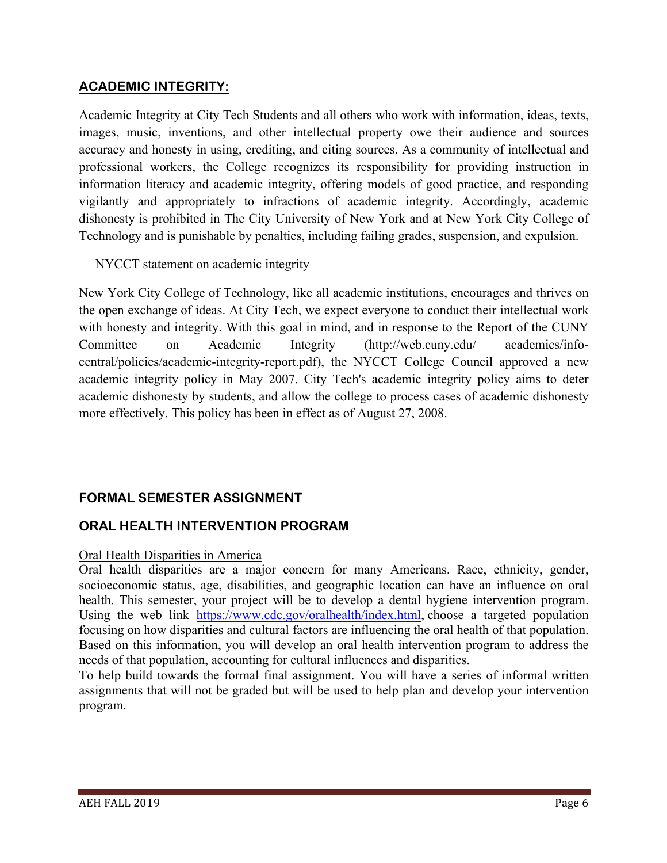# **ACADEMIC INTEGRITY:**

Academic Integrity at City Tech Students and all others who work with information, ideas, texts, images, music, inventions, and other intellectual property owe their audience and sources accuracy and honesty in using, crediting, and citing sources. As a community of intellectual and professional workers, the College recognizes its responsibility for providing instruction in information literacy and academic integrity, offering models of good practice, and responding vigilantly and appropriately to infractions of academic integrity. Accordingly, academic dishonesty is prohibited in The City University of New York and at New York City College of Technology and is punishable by penalties, including failing grades, suspension, and expulsion.

— NYCCT statement on academic integrity

New York City College of Technology, like all academic institutions, encourages and thrives on the open exchange of ideas. At City Tech, we expect everyone to conduct their intellectual work with honesty and integrity. With this goal in mind, and in response to the Report of the CUNY Committee on Academic Integrity (http://web.cuny.edu/ academics/infocentral/policies/academic-integrity-report.pdf), the NYCCT College Council approved a new academic integrity policy in May 2007. City Tech's academic integrity policy aims to deter academic dishonesty by students, and allow the college to process cases of academic dishonesty more effectively. This policy has been in effect as of August 27, 2008.

# **FORMAL SEMESTER ASSIGNMENT**

# **ORAL HEALTH INTERVENTION PROGRAM**

#### Oral Health Disparities in America

Oral health disparities are a major concern for many Americans. Race, ethnicity, gender, socioeconomic status, age, disabilities, and geographic location can have an influence on oral health. This semester, your project will be to develop a dental hygiene intervention program. Using the web link https://www.cdc.gov/oralhealth/index.html, choose a targeted population focusing on how disparities and cultural factors are influencing the oral health of that population. Based on this information, you will develop an oral health intervention program to address the needs of that population, accounting for cultural influences and disparities.

To help build towards the formal final assignment. You will have a series of informal written assignments that will not be graded but will be used to help plan and develop your intervention program.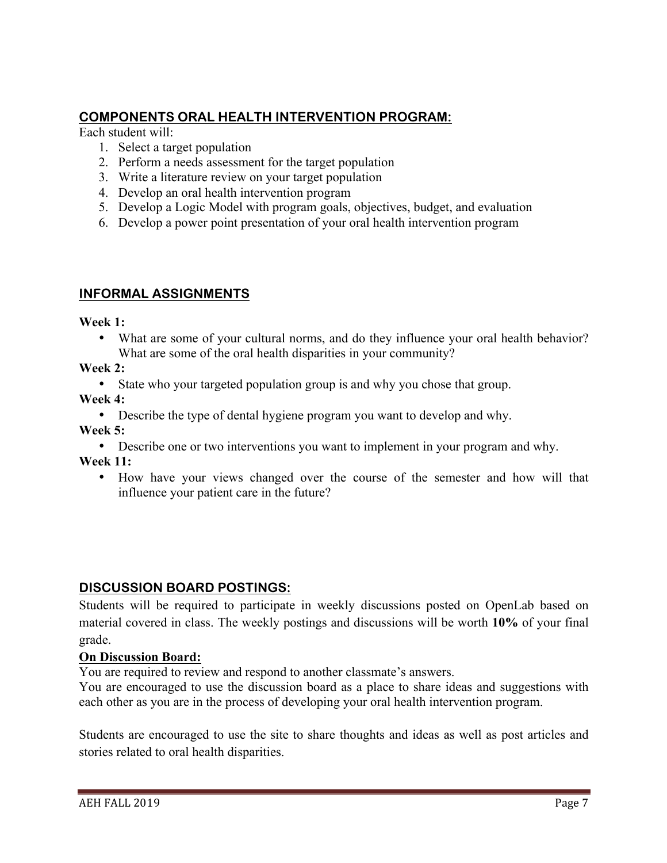# **COMPONENTS ORAL HEALTH INTERVENTION PROGRAM:**

Each student will:

- 1. Select a target population
- 2. Perform a needs assessment for the target population
- 3. Write a literature review on your target population
- 4. Develop an oral health intervention program
- 5. Develop a Logic Model with program goals, objectives, budget, and evaluation
- 6. Develop a power point presentation of your oral health intervention program

### **INFORMAL ASSIGNMENTS**

**Week 1:**

• What are some of your cultural norms, and do they influence your oral health behavior? What are some of the oral health disparities in your community?

**Week 2:**

• State who your targeted population group is and why you chose that group.

**Week 4:**

• Describe the type of dental hygiene program you want to develop and why.

**Week 5:**

• Describe one or two interventions you want to implement in your program and why.

**Week 11:**

• How have your views changed over the course of the semester and how will that influence your patient care in the future?

### **DISCUSSION BOARD POSTINGS:**

Students will be required to participate in weekly discussions posted on OpenLab based on material covered in class. The weekly postings and discussions will be worth **10%** of your final grade.

#### **On Discussion Board:**

You are required to review and respond to another classmate's answers.

You are encouraged to use the discussion board as a place to share ideas and suggestions with each other as you are in the process of developing your oral health intervention program.

Students are encouraged to use the site to share thoughts and ideas as well as post articles and stories related to oral health disparities.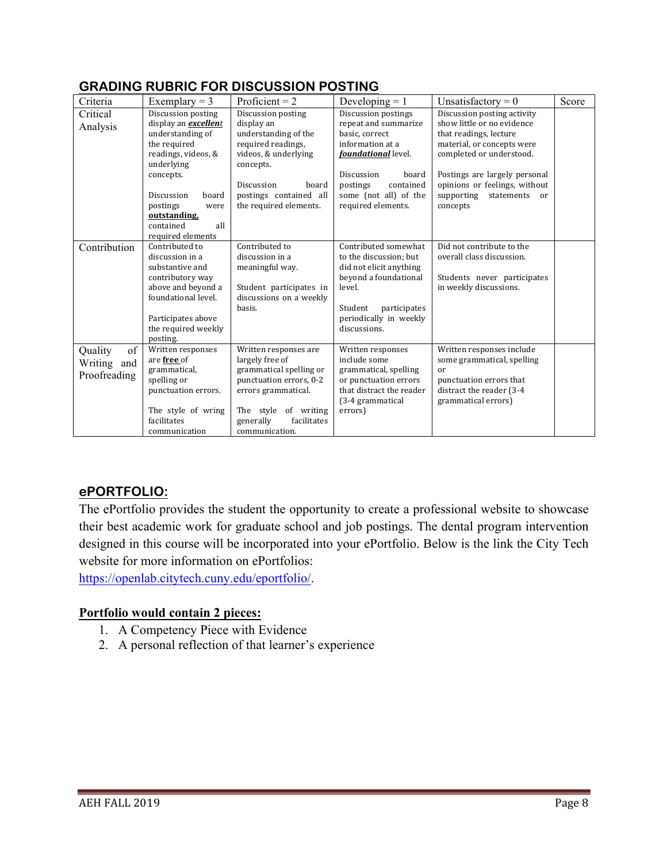| Criteria<br>Critical<br>Analysis             | Exemplary $=$ 3<br>Discussion posting<br>display an excellent<br>understanding of<br>the required<br>readings, videos, &<br>underlying<br>concepts.<br>Discussion<br>board<br>postings<br>were | Proficient = $2$<br>Discussion posting<br>display an<br>understanding of the<br>required readings,<br>videos, & underlying<br>concepts.<br>Discussion<br>board<br>postings contained all<br>the required elements. | Developing $= 1$<br>Discussion postings<br>repeat and summarize<br>basic, correct<br>information at a<br>foundational level.<br>Discussion<br>board<br>postings<br>contained<br>some (not all) of the<br>required elements. | Unsatisfactory = $0$<br>Discussion posting activity<br>show little or no evidence<br>that readings, lecture<br>material, or concepts were<br>completed or understood.<br>Postings are largely personal<br>opinions or feelings, without<br>supporting<br>statements<br>or<br>concepts | Score |
|----------------------------------------------|------------------------------------------------------------------------------------------------------------------------------------------------------------------------------------------------|--------------------------------------------------------------------------------------------------------------------------------------------------------------------------------------------------------------------|-----------------------------------------------------------------------------------------------------------------------------------------------------------------------------------------------------------------------------|---------------------------------------------------------------------------------------------------------------------------------------------------------------------------------------------------------------------------------------------------------------------------------------|-------|
|                                              | outstanding,<br>all<br>contained<br>required elements                                                                                                                                          |                                                                                                                                                                                                                    |                                                                                                                                                                                                                             |                                                                                                                                                                                                                                                                                       |       |
| Contribution                                 | Contributed to<br>discussion in a<br>substantive and<br>contributory way<br>above and beyond a<br>foundational level.<br>Participates above<br>the required weekly<br>posting.                 | Contributed to<br>discussion in a<br>meaningful way.<br>Student participates in<br>discussions on a weekly<br>basis.                                                                                               | Contributed somewhat<br>to the discussion; but<br>did not elicit anything<br>beyond a foundational<br>level.<br>Student<br>participates<br>periodically in weekly<br>discussions.                                           | Did not contribute to the<br>overall class discussion.<br>Students never participates<br>in weekly discussions.                                                                                                                                                                       |       |
| of<br>Quality<br>Writing and<br>Proofreading | Written responses<br>are free of<br>grammatical,<br>spelling or<br>punctuation errors.<br>The style of wring<br>facilitates<br>communication                                                   | Written responses are<br>largely free of<br>grammatical spelling or<br>punctuation errors, 0-2<br>errors grammatical.<br>The style of writing<br>facilitates<br>generally<br>communication.                        | Written responses<br>include some<br>grammatical, spelling<br>or punctuation errors<br>that distract the reader<br>(3-4 grammatical<br>errors)                                                                              | Written responses include<br>some grammatical, spelling<br>or<br>punctuation errors that<br>distract the reader (3-4<br>grammatical errors)                                                                                                                                           |       |

# **GRADING RUBRIC FOR DISCUSSION POSTING**

### **ePORTFOLIO:**

The ePortfolio provides the student the opportunity to create a professional website to showcase their best academic work for graduate school and job postings. The dental program intervention designed in this course will be incorporated into your ePortfolio. Below is the link the City Tech website for more information on ePortfolios:

https://openlab.citytech.cuny.edu/eportfolio/.

### **Portfolio would contain 2 pieces:**

- 1. A Competency Piece with Evidence
- 2. A personal reflection of that learner's experience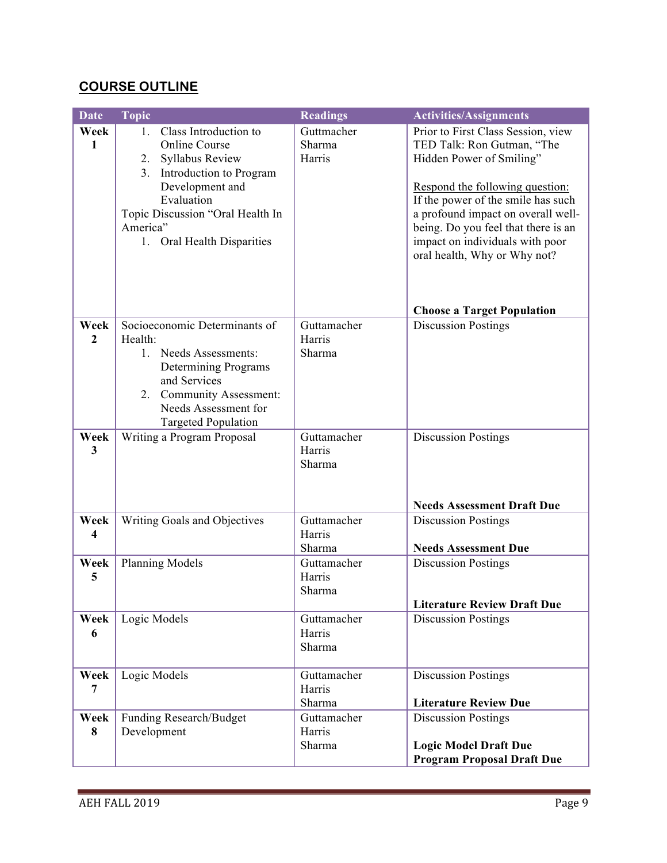# **COURSE OUTLINE**

| <b>Date</b>             | <b>Topic</b>                                                                                                                                                                                                                             | <b>Readings</b>                 | <b>Activities/Assignments</b>                                                                                                                                                                                                                                                                                         |
|-------------------------|------------------------------------------------------------------------------------------------------------------------------------------------------------------------------------------------------------------------------------------|---------------------------------|-----------------------------------------------------------------------------------------------------------------------------------------------------------------------------------------------------------------------------------------------------------------------------------------------------------------------|
| Week<br>1               | Class Introduction to<br>$1_{-}$<br><b>Online Course</b><br><b>Syllabus Review</b><br>2.<br>Introduction to Program<br>3.<br>Development and<br>Evaluation<br>Topic Discussion "Oral Health In<br>America"<br>1. Oral Health Disparities | Guttmacher<br>Sharma<br>Harris  | Prior to First Class Session, view<br>TED Talk: Ron Gutman, "The<br>Hidden Power of Smiling"<br>Respond the following question:<br>If the power of the smile has such<br>a profound impact on overall well-<br>being. Do you feel that there is an<br>impact on individuals with poor<br>oral health, Why or Why not? |
|                         |                                                                                                                                                                                                                                          |                                 | <b>Choose a Target Population</b>                                                                                                                                                                                                                                                                                     |
| Week<br>$\overline{2}$  | Socioeconomic Determinants of<br>Health:<br>1. Needs Assessments:<br>Determining Programs<br>and Services<br>Community Assessment:<br>2.<br>Needs Assessment for<br><b>Targeted Population</b>                                           | Guttamacher<br>Harris<br>Sharma | <b>Discussion Postings</b>                                                                                                                                                                                                                                                                                            |
| Week<br>3               | Writing a Program Proposal                                                                                                                                                                                                               | Guttamacher<br>Harris<br>Sharma | <b>Discussion Postings</b><br><b>Needs Assessment Draft Due</b>                                                                                                                                                                                                                                                       |
| Week                    | Writing Goals and Objectives                                                                                                                                                                                                             | Guttamacher                     | <b>Discussion Postings</b>                                                                                                                                                                                                                                                                                            |
| $\overline{\mathbf{4}}$ |                                                                                                                                                                                                                                          | Harris<br>Sharma                | <b>Needs Assessment Due</b>                                                                                                                                                                                                                                                                                           |
| Week<br>5               | Planning Models                                                                                                                                                                                                                          | Guttamacher<br>Harris<br>Sharma | <b>Discussion Postings</b><br><b>Literature Review Draft Due</b>                                                                                                                                                                                                                                                      |
| Week<br>6               | Logic Models                                                                                                                                                                                                                             | Guttamacher<br>Harris<br>Sharma | <b>Discussion Postings</b>                                                                                                                                                                                                                                                                                            |
| Week<br>7               | Logic Models                                                                                                                                                                                                                             | Guttamacher<br>Harris<br>Sharma | <b>Discussion Postings</b><br><b>Literature Review Due</b>                                                                                                                                                                                                                                                            |
| Week<br>8               | Funding Research/Budget<br>Development                                                                                                                                                                                                   | Guttamacher<br>Harris<br>Sharma | <b>Discussion Postings</b><br><b>Logic Model Draft Due</b><br><b>Program Proposal Draft Due</b>                                                                                                                                                                                                                       |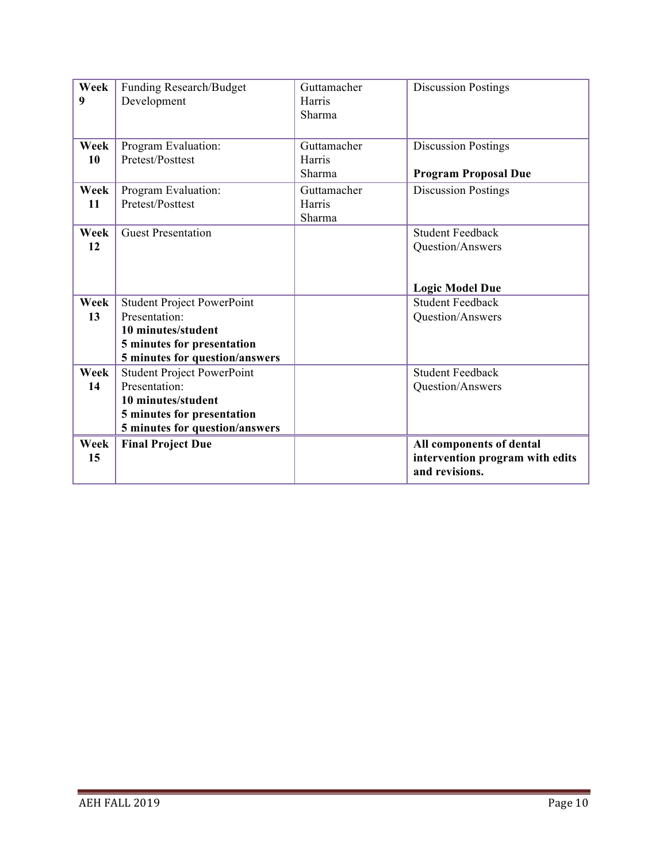| Week<br>9 | Funding Research/Budget           | Guttamacher<br>Harris | <b>Discussion Postings</b>      |
|-----------|-----------------------------------|-----------------------|---------------------------------|
|           | Development                       | Sharma                |                                 |
|           |                                   |                       |                                 |
| Week      | Program Evaluation:               | Guttamacher           | <b>Discussion Postings</b>      |
| 10        | Pretest/Posttest                  | Harris                |                                 |
|           |                                   | Sharma                | <b>Program Proposal Due</b>     |
| Week      | Program Evaluation:               | Guttamacher           | <b>Discussion Postings</b>      |
| 11        | Pretest/Posttest                  | Harris                |                                 |
|           |                                   | Sharma                |                                 |
| Week      | <b>Guest Presentation</b>         |                       | <b>Student Feedback</b>         |
| 12        |                                   |                       | Question/Answers                |
|           |                                   |                       |                                 |
|           |                                   |                       |                                 |
|           |                                   |                       | <b>Logic Model Due</b>          |
| Week      | <b>Student Project PowerPoint</b> |                       | <b>Student Feedback</b>         |
| 13        | Presentation:                     |                       | Question/Answers                |
|           | 10 minutes/student                |                       |                                 |
|           | 5 minutes for presentation        |                       |                                 |
|           | 5 minutes for question/answers    |                       |                                 |
| Week      | <b>Student Project PowerPoint</b> |                       | <b>Student Feedback</b>         |
| 14        | Presentation:                     |                       | Question/Answers                |
|           | 10 minutes/student                |                       |                                 |
|           | 5 minutes for presentation        |                       |                                 |
|           | 5 minutes for question/answers    |                       |                                 |
| Week      | <b>Final Project Due</b>          |                       | All components of dental        |
| 15        |                                   |                       | intervention program with edits |
|           |                                   |                       | and revisions.                  |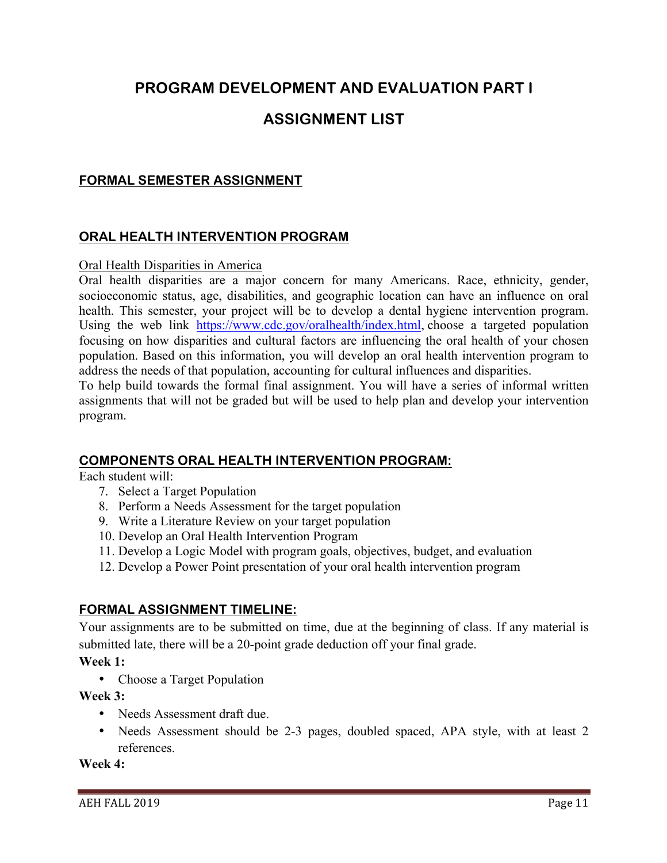# **PROGRAM DEVELOPMENT AND EVALUATION PART I**

# **ASSIGNMENT LIST**

### **FORMAL SEMESTER ASSIGNMENT**

#### **ORAL HEALTH INTERVENTION PROGRAM**

#### Oral Health Disparities in America

Oral health disparities are a major concern for many Americans. Race, ethnicity, gender, socioeconomic status, age, disabilities, and geographic location can have an influence on oral health. This semester, your project will be to develop a dental hygiene intervention program. Using the web link https://www.cdc.gov/oralhealth/index.html, choose a targeted population focusing on how disparities and cultural factors are influencing the oral health of your chosen population. Based on this information, you will develop an oral health intervention program to address the needs of that population, accounting for cultural influences and disparities.

To help build towards the formal final assignment. You will have a series of informal written assignments that will not be graded but will be used to help plan and develop your intervention program.

#### **COMPONENTS ORAL HEALTH INTERVENTION PROGRAM:**

Each student will:

- 7. Select a Target Population
- 8. Perform a Needs Assessment for the target population
- 9. Write a Literature Review on your target population
- 10. Develop an Oral Health Intervention Program
- 11. Develop a Logic Model with program goals, objectives, budget, and evaluation
- 12. Develop a Power Point presentation of your oral health intervention program

#### **FORMAL ASSIGNMENT TIMELINE:**

Your assignments are to be submitted on time, due at the beginning of class. If any material is submitted late, there will be a 20-point grade deduction off your final grade.

**Week 1:**

• Choose a Target Population

**Week 3:**

- Needs Assessment draft due.
- Needs Assessment should be 2-3 pages, doubled spaced, APA style, with at least 2 references.

**Week 4:**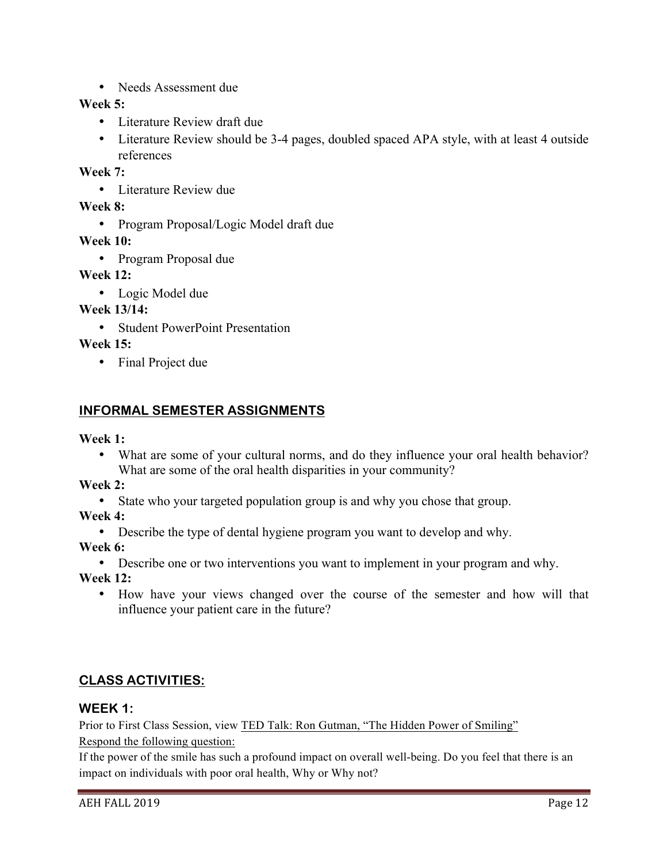• Needs Assessment due

### **Week 5:**

- Literature Review draft due
- Literature Review should be 3-4 pages, doubled spaced APA style, with at least 4 outside references

**Week 7:**

• Literature Review due

**Week 8:**

• Program Proposal/Logic Model draft due

**Week 10:**

• Program Proposal due

**Week 12:**

• Logic Model due

**Week 13/14:**

• Student PowerPoint Presentation

**Week 15:**

• Final Project due

# **INFORMAL SEMESTER ASSIGNMENTS**

**Week 1:**

• What are some of your cultural norms, and do they influence your oral health behavior? What are some of the oral health disparities in your community?

**Week 2:**

• State who your targeted population group is and why you chose that group.

**Week 4:**

• Describe the type of dental hygiene program you want to develop and why.

**Week 6:**

• Describe one or two interventions you want to implement in your program and why.

**Week 12:**

• How have your views changed over the course of the semester and how will that influence your patient care in the future?

# **CLASS ACTIVITIES:**

### **WEEK 1:**

Prior to First Class Session, view TED Talk: Ron Gutman, "The Hidden Power of Smiling" Respond the following question:

If the power of the smile has such a profound impact on overall well-being. Do you feel that there is an impact on individuals with poor oral health, Why or Why not?